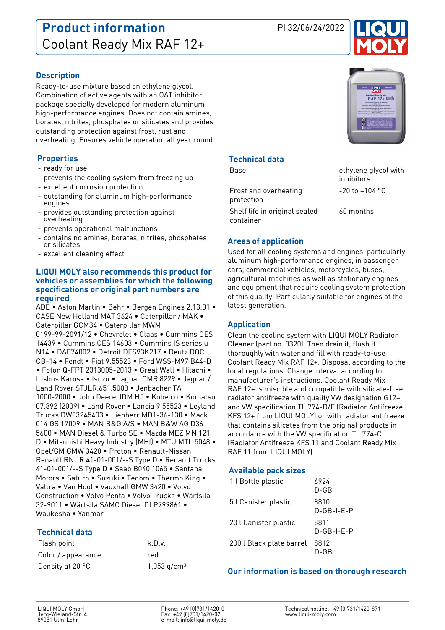## **Product information** PI 32/06/24/2022 Coolant Ready Mix RAF 12+



#### **Description**

Ready-to-use mixture based on ethylene glycol. Combination of active agents with an OAT inhibitor package specially developed for modern aluminum high-performance engines. Does not contain amines, borates, nitrites, phosphates or silicates and provides outstanding protection against frost, rust and overheating. Ensures vehicle operation all year round.

#### **Properties**

- ready for use
- prevents the cooling system from freezing up
- excellent corrosion protection
- outstanding for aluminum high-performance engines
- provides outstanding protection against overheating
- prevents operational malfunctions
- contains no amines, borates, nitrites, phosphates or silicates
- excellent cleaning effect

#### **LIQUI MOLY also recommends this product for vehicles or assemblies for which the following specifications or original part numbers are required**

ADE • Aston Martin • Behr • Bergen Engines 2.13.01 • CASE New Holland MAT 3624 • Caterpillar / MAK • Caterpillar GCM34 • Caterpillar MWM 0199-99-2091/12 • Chevrolet • Claas • Cummins CES 14439 • Cummins CES 14603 • Cummins IS series u N14 • DAF74002 • Detroit DFS93K217 • Deutz DQC CB-14 • Fendt • Fiat 9.55523 • Ford WSS-M97 B44-D • Foton Q-FPT 2313005-2013 • Great Wall • Hitachi • Irisbus Karosa • Isuzu • Jaguar CMR 8229 • Jaguar / Land Rover STJLR.651.5003 • Jenbacher TA 1000-2000 • John Deere JDM H5 • Kobelco • Komatsu 07.892 (2009) • Land Rover • Lancia 9.55523 • Leyland Trucks DW03245403 • Liebherr MD1-36-130 • Mack 014 GS 17009 • MAN B&G A/S • MAN B&W AG D36 5600 • MAN Diesel & Turbo SE • Mazda MEZ MN 121 D • Mitsubishi Heavy Industry (MHI) • MTU MTL 5048 • Opel/GM GMW 3420 • Proton • Renault-Nissan Renault RNUR 41-01-001/--S Type D • Renault Trucks 41-01-001/--S Type D • Saab B040 1065 • Santana Motors • Saturn • Suzuki • Tedom • Thermo King • Valtra • Van Hool • Vauxhall GMW 3420 • Volvo Construction • Volvo Penta • Volvo Trucks • Wärtsila 32-9011 • Wärtsila SAMC Diesel DLP799861 • Waukesha • Yanmar

### **Technical data**

| Flash point        | k.D.v.                    |
|--------------------|---------------------------|
| Color / appearance | red                       |
| Density at 20 °C   | $1,053$ g/cm <sup>3</sup> |



ethylene glycol with

inhibitors

### **Technical data**

| Rase |  |  |
|------|--|--|

| Frost and overheating<br>protection | $-20$ to $+104$ °C |
|-------------------------------------|--------------------|
| Shelf life in original sealed       | 60 months          |
| container                           |                    |

#### **Areas of application**

Used for all cooling systems and engines, particularly aluminum high-performance engines, in passenger cars, commercial vehicles, motorcycles, buses, agricultural machines as well as stationary engines and equipment that require cooling system protection of this quality. Particularly suitable for engines of the latest generation.

#### **Application**

Clean the cooling system with LIQUI MOLY Radiator Cleaner (part no. 3320). Then drain it, flush it thoroughly with water and fill with ready-to-use Coolant Ready Mix RAF 12+. Disposal according to the local regulations. Change interval according to manufacturer's instructions. Coolant Ready Mix RAF 12+ is miscible and compatible with silicate-free radiator antifreeze with quality VW designation G12+ and VW specification TL 774-D/F (Radiator Antifreeze KFS 12+ from LIQUI MOLY) or with radiator antifreeze that contains silicates from the original products in accordance with the VW specification TL 774-C (Radiator Antifreeze KFS 11 and Coolant Ready Mix RAF 11 from LIQUI MOLY).

#### **Available pack sizes**

| 1 l Bottle plastic       | 6924<br>$D$ -GB      |
|--------------------------|----------------------|
| 5 l Canister plastic     | 8810<br>$D-GB-I-F-P$ |
| 20 l Canister plastic    | 8811<br>$D-GB-I-F-P$ |
| 200 l Black plate barrel | 8812<br>D-GB         |

#### **Our information is based on thorough research**